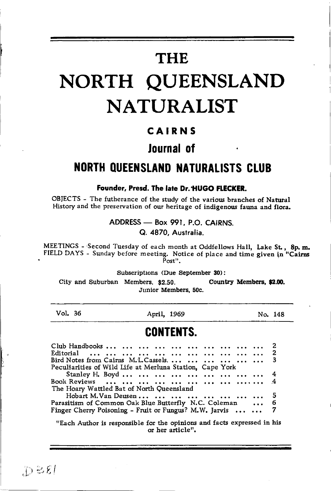# **THE**

# NORTH QUEENSLAND **NATURALIST**

### CAIRNS

### Journal of

### **NORTH OUEENSLAND NATURALISTS CLUB**

Founder, Presd. The late Dr. HUGO FLECKER.

OBJECTS - The futherance of the study of the various branches of Natural History and the preservation of our heritage of indigenous fauna and flora.

ADDRESS - Box 991, P.O. CAIRNS.

Q. 4870. Australia.

MEETINGS - Second Tuesday of each month at Oddfellows Hall, Lake St., 8p.m. FIELD DAYS - Sunday before meeting. Notice of place and time given in "Cairns  $P<sub>ost</sub>$ 

Subscriptions (Due September 30):

City and Suburban Members, \$2.50. Country Members, \$2.00. Junior Members, 50c.

Vol. 36

April, 1969

No. 148

### **CONTENTS**

| Bird Notes from Cairns M.L.Cassels.       3                |  |
|------------------------------------------------------------|--|
| Peculiarities of Wild Life at Merluna Station, Cape York   |  |
| Stanley H. Boyd          4                                 |  |
|                                                            |  |
| The Hoary Wattled Bat of North Queensland                  |  |
| Hobart M.Van Deusen        5                               |  |
| Parasitism of Common Oak Blue Butterfly N.C. Coleman  6    |  |
| Finger Cherry Poisoning - Fruit or Fungus? M.W. Jarvis   7 |  |
|                                                            |  |

"Each Author is responsible for the opinions and facts expressed in his or her article".

 $D \geqslant 81$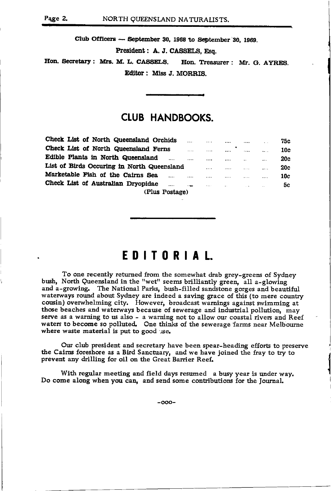Club Officers - September 30, 1968 to September 30, 1969.

President: A. J. CASSELS, Esq.

Hon. Secretary: Mrs. M. L. CASSELS. Hon. Treasurer: Mr. G. AYRES. Editor: Miss J. MORRIS.

### **CLUB HANDBOOKS.**

| Check List of North Queensland Orchids         | $\cdots$ | $\cdots$           | $\cdots$                 | .        | $\sim$   | 75c        |
|------------------------------------------------|----------|--------------------|--------------------------|----------|----------|------------|
| Check List of North Queensland Ferns           | 1.11     | .                  | ٠<br>                    | $\cdots$ |          | 10c        |
| Edible Plants in North Queensland<br>$\cdots$  | $\cdots$ | $\cdots$           | $\cdots$                 |          | $\cdots$ | 20c        |
| List of Birds Occuring in North Queensland     |          |                    | 1.1.1.1                  | 1.1.1    |          | <b>20c</b> |
| Marketable Fish of the Cairns Sea<br>          | $\cdots$ |                    | $\cdots$                 | $\cdots$ |          | 10c        |
| Check List of Australian Dryopidae<br>$\cdots$ | $\cdots$ | <b>Address Co.</b> | <b>Contract Contract</b> | $\sim$   |          | 5с         |
| (Plus Postage)                                 |          |                    |                          |          |          |            |

### EDITORIAL

To one recently returned from the somewhat drab grey-greens of Sydney bush, North Queensland in the "wet" seems brilliantly green, all a-glowing<br>and a-growing. The National Parks, bush-filled sandstone gorges and beautiful waterways round about Sydney are indeed a saving grace of this (to mere country cousin) overwhelming city. However, broadcast warnings against swimming at those beaches and waterways because of sewerage and industrial pollution, may serve as a warning to us also - a warning not to allow our coastal rivers and Reef waters to become so polluted. One thinks of the sewerage farms near Melbourne where waste material is put to good use.

Our club president and secretary have been spear-heading efforts to preserve the Cairns foreshore as a Bird Sanctuary, and we have joined the fray to try to prevent any drilling for oil on the Great Barrier Reef.

With regular meeting and field days resumed a busy year is under way. Do come along when you can, and send some contributions for the Journal.

 $-000-$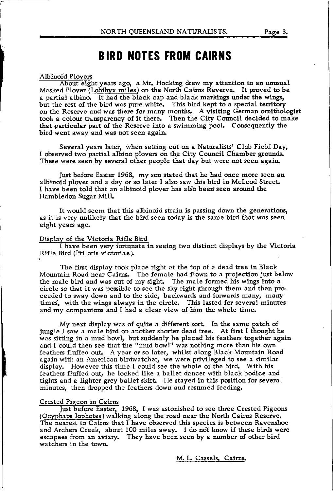### **BIRD NOTES FROM CAIRNS**

-------A6outGl-ght years ago, a Mr. Hocking drew my attention to an unusual Masked Plover (Lobibyx miles) on the North Cairns Reverve. It proved to be a partial albino. It had the black cap and black markings under the wings, but the rest of the bird was pure white. This bird kept to a special territory on the Reserve and was there for many months. A visiting German ornithologist took a colour transparency of it there. Then the City Council decided to make that particular part of the Reserve into a swimming pool. Consequently the bird went away and was not seen again

Several years later, when setting out on a Naturalists' Club Field Day, I observed two partial albino plovers on the City Council Chamber grounds. These were seen by several other people that day but were not seen again

Just before Easter 1968, my son stated that he had once more seen an albinoid plover and a day or so later I also saw this bird in McLeod Street. I have been told that an albinoid plover has also been seen around the Hambledon Sugar MilL

It would seem that this albinoid strain is passing down the generations, as it is very unlikely that the bird seen today is the same bird that was seen eight years ago.

### Display of the Victoria Rifle Bird

I have been very fortunate in seeing two distinct displays by the Victoria Rifle Bird (Ptiloris victoriae).

The fist display took place right at the top of a dead tree in Black Mountain Road near Cairns. The female had flown to a projection just below the male bird and was out of my sight. The male formed his wings into a circle so that it was possible to see the sky right through them and then proceeded to sway down and to the side, backwards and forwards many, many times, with the wings always in the circle. This lasted for several minutes and my companions and I had a clear view of him the whole time.

My next display was of quite a different sort. In the same patch of jungle I saw a male bird on another shorter dead tree. At first I thought he was sitting in a mud bowl, but suddenly he placed his feathers together again and I could then see that the "mud bowl" was nothing more than his own feathers fluffed out. A year or so later, whilst along Black Mountain Road again with an American birdwatcher, we wete privileged to see a similar display. However this time I could see the whole of the bird. With his feathers fluffed out, he looked like a ballet dancer with black bodice and tights and a lighter grey ballet skirt. He stayed in this position for several minutes, then dropped the feathers down and resumed feeding.

### Crested Piseon in Cairns

Just before Easter, 1968, I was astonished to see three Crested Pigeons (Ocyphaps lophotes) walking along the road near the North Cairns Reserve. The nearest to Cairns that I have observed this species is between Ravenshoe and Archers Creek, about 100 miles away. I do not know if these birds were escapees from an aviary. They have been seen by a number of other bird watchers in the town

M. L. Cassels, Cairns.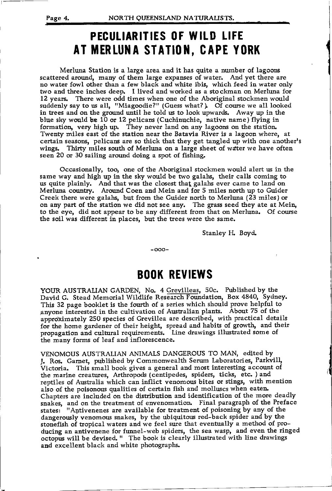## PECULIARITIES OF WILD LIFE AT MERLUNA STATION, CAPE YORK

Merluna Station is a large area and it has quite a number of lagoons scattered around, many of them large expanses of water. And yet there are no water fowl other than a few black and white ibis, which feed in water only two and three inches deep. I lived and worked as a stockman on Merluna for 12 years. There were odd times when one of the Aboriginal stockmen would suddenly say to us all, "Miagoodie?" (Guess what?). Of course we all looked in trees and on the ground until he told us to look upwards. Away up in the blue sky would be  $10$  or  $12$  pelicans (Cuchinuchie, native name) flying in formation, very high up. They never land on any lagoons on the station. Twenty miles east of the station near the Batavia River is a lagoon where, at certain seasons, pelicans are so thick that they get tangled up with one another's wings. Thirty miles south of Merluna on a large sheet of wdter we have often seen 20 or 30 sailing around doing a spot of fishing.

Occasionally, too, one of the Aboriginal stockmen would alert us in the same way and high up in the sky would be two galahs, their calls coming to us quite plainly. And that was the closest thatgalahs ever came to land on Merluna country. Around Coen and Mein and for 5 miles north up to Guider Creek there were galahs, but from the Guider north to Merluna (23 miles) or on any part of the station we did not see any. The grass seed they ate at Mein, to the eye, did not appear to be any different from that on Merluna. Of course the soil was different in places, but the trees were the same.

Stanley H. Boyd.

-ooo-

### BOOK REVIEWS

YOUR AUSTRALIAN GARDEN, No. 4 Grevilleas, 50c. Published by the David G. Stead Memorial Wildlife Research Foundation, Box 4840, Sydney. This 32 page booklet is the fourth of a series which should prove lelpful to anyone interested in the cultivation of Australian plants. About 75 of the approximately 250 species of Grevillea are described, with practical details for the home gardener of their height, spread and habits of growth, and their propagation and cultural requirements. Line drawings illustrated some of the many forms of leaf and inflorescence.

VENoMOUS AUSTRALIAN ANIMALS DANGERoUS To MAN, edited by J. Ros. Garnet, published by Commonwealth Serum Laboratories, Parkvill, Victoria. This small book gives a general and most interesting account of the marine creatures, Arthropods (centipedes, spiders, ticks, etc. ) and reptiles of Australia which can inflict venomous bites or stings, with mention also of the poisonous qualities of certain fish and molluscs when eaten Chapters are included on the distribution and identification of the more deadly snakes, and on the treatment of envenomation. Final paragraph of the Preface states: "Antivenenes are available for treatment of poisoning by any of the dangerously venomous snakes, by the ubiquitous red-back spider and by the stonefish of tropical waters and we feel sure that eventually a method of producing an antivenene for funnel-web spiders, the sea wasp, and even the ringed octopus will be devised. " The book is clearly illustrated with line drawings and excellent black and white photographs.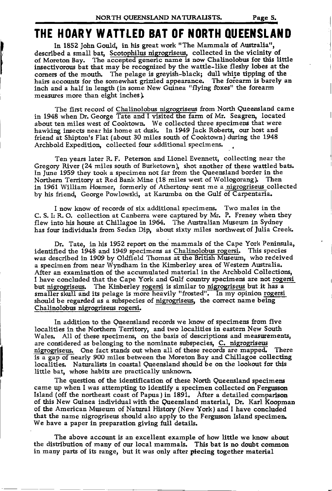I

### THE HOARY WATTLED BAT OF NORTH QUEENSLAND

In 1852 John Gould, in his great work "The Mammals of Australia". described a small bat, Scotophilus nigrogriseus, collected in the vicinity of of Moreton Bay. The accepted generic name is now Chalinolobus for this little insectivorous bat that may be recognized by the wattle-like fleshy lobes at the corners of the mouth. The pelage is greyish-black; dull white tipping of the hairs accounts for the somewhat grizzled appearance. The forearm is barely an inch and a half in length (in some New Guinea "flying foxes" the forearm measures more than eight inches).

The first record of Chalinolobus nigrogriseus from North Queensland came in 1948 when Dr. George Tate and I visited the farm of Mr. Seagren, located about ten miles west of Cooktown. We collected three specimens that were hawking insects near his home at dusk. In 1949 Jack Roberts, our host and friend at Shipton's Flat (about 30 miles south of Cooktown) during the 1948 Archbold Expedition, collected four additional specimens. .

Ten years later R. F. Peterson and Lionel Evennett, collecting near the Gregory River (24 miles south of Burketown), shot another of these wattled bats. In June 1959 they took a specimen not far from the Queensland border in the Northern Territory at Red Bank Mine (18 miles west of Wollogorang). Then in 1961 William Hosmer, formerly of Atherton, sent me a nigrogriseus collected by his friend, George Powlowski, at Karumba on the Gulf of Carpentaria.

I now know of records of six additional specimens. Two males in the C. S. I: R. O. collection at Canberra were captured by Mr. P. Freney when they flew into his house at Chillagoe in 1964. The Australian Museum in Sydney has four individuals from Sedan Dip, about sixty miles northwestof Julia Creek

Dr. Tate, in his 1952 report on the mammals of the Cape York Peninsula, identified the 1948 and 1949 specimens as Chalinolobus rogersi. This species was described in 1909 by Oldfield Thomas at the British Museum, who received a specimen from near Wyndham in the Kimberley area of Western Australia. After an examination of the accumulated material in the Archbold Collections, I have concluded that the Cape York and Gulf country specimens are not rogersi but nigrogriseus. The Kinberley rogersi is similar to nigrogriseus but it has a smaller skull and its pelage is more heavily "frosted". In my opinion rogersi should be regarded as a subspecies of nigrogriseus, the correct name being Chalinolobus nigrogriseus rogersi.

In addition to the Queensland records we know of specimens from five localities in the Northern Territory, and two localities in eastern New South Wales. All of these specimens, on the basis of descriptions and measurements, are considered as belonging to the nominate subspecies, C. nigrogriseus nigrogriseus. One fact stands out when all of these records are mapped. There is a gap of nearly 900 miles between the Moreton Bay and Chillagoe collecting localities. Naturalists in coastal Queensland should be on the lookout for this little bat, whose habits are practically unknown

The question of the identification of these North Queensland specimens came up when I was attempting to identify a specimen collected on Fergusson Island (off the northeast coast of Papua) in 1891. After a detailed comparlson of this New Guinea individual with the Queensland material, Dr. Karl Koopman of the American Museum of Natural History (New York) and I have concluded that the name nigrogriseus should also apply to the Fergusson Island specimen. We have a paper in preparation giving full details.

The above account is an excellent example of how little we know about the distribution of many of our local mammals. This bat is no doubt common in many parts of its range, but it was only after piecing together material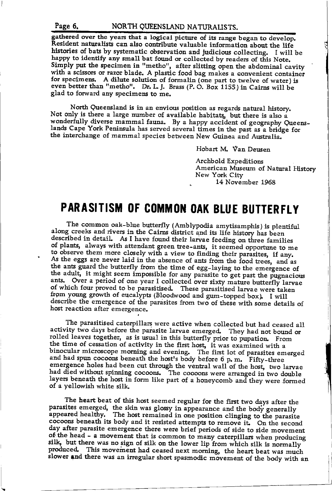### Page 6.

gathered over the years that a logical picture of its range began to develop.<br>Resident naturalists can also contribute valuable information about the life histories of bats by systematic observation and judicious collecting. I will be happy to identify any small bat found or collected by readers of this Note. Simply put the specimen in "metho", after slitting open the abdominal cavity with a scissors or razor blade. A plastic food bag makes a convenient container for specimens. A dilute solution of formalin (one part to twelve of water) is even better than "metho". Dr. L. J. Brass (P. O. Box 1155) in Cairns will be glad to forward any specimens to me.

North Queensland is in an envious position as regards natural history. Not only is there a large number of available habitats, but there is also a wonderfully diverse mammal fauna. By a happy accident of geography Queenslands Cape York Peninsula has served several times in the past as a bridge for the interchange of mammal species between New Guinea and Australia.

Hobart M. Van Deusen

Archbold Expeditions American Museum of Natural History New York City 14 November 1968

### PARASITISM OF COMMON OAK BLUE BUTTERFLY

The common oak-blue butterfly (Amblypodia amytisamphis) is plentiful along creeks and rivers in the Cairns district and its life history has been described in detail. As I have found their larvae feeding on three families of plants, always with attendant green tree-ants, it seemed opportune to me to observe them more closely with a view to finding their parasites, if any. As the eggs are never laid in the absence of ants from the food trees, and as the ants guard the butterfly from the time of egg-laying to the emergence of the adult, it might seem impossible for any parasite to get past the pugnacious ants. Over a period of one year I collected over sixty mature butterfly larvae of which four proved to be parasitised. These parasitised larvae were taken from young growth of eucalypts (Bloodwood and gum-topped box). I will describe the emergence of the parasites from two of these with some details of host reaction after emergence.

The parasitised caterpillars were active when collected but had ceased all activity two days before the parasite larvae emerged. They had not bound or rolled leaves together, as is usual in this butterfly prior to pupation. From the time of cessation of activity in the first host, it was examined with a binocular microscope morning and evening. The first lot of parasites emerged and had spun cocoons beneath the host's body before 6 p.m. Fifty-three emergence holes had been cut through the ventral wall of the host, two larvae had died without spinning cocoons. The cocoons were arranged in two double layers beneath the host in form like part of a honeycomb and they were formed of a yellowish white silk.

The heart beat of this host seemed regular for the first two days after the parasites emerged, the skin was glossy in appearance and the body generally appeared healthy. The host remained in one position clinging to the parasite cocoons beneath its body and it resisted attempts to remove it. On the second day after parasite emergence there were brief periods of side to side movement of the head - a movement that is common to many caterpillars when producing silk, but there was no sign of silk on the lower lip from which silk is normally produced. This movement had ceased next morning, the heart beat was much slower and there was an irregular short spasmodic movement of the body with an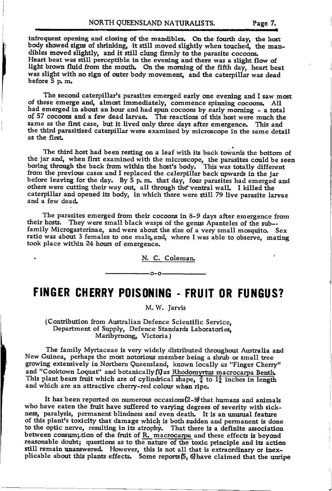infrequent opening and closing of the mandibles. On the fourth day, the host body showed signs of shrinking, it still moved slightly when touched, the mandibles moved slightly, and it still clung firmly to the parasite cocoons. Heart beat was still perceptible in the evening and there was a slight flow of light brown fluid from the mouth. On the morning of the fifth day, heart beat was slight with no sign of outer body movement, and the caterpillar was dead before  $5$  p. m

The second caterpillar's parasites emerged early one evening and I saw m<br>of these emerge and, almost immediately, commence spinning cocoons. All<br>had omeaned in but almost immediately, commence spinning cocoons. The second caterpillar's parasites emerged early one evening and I saw most had emerged in about an hour and had spun cocoons by early morning - a total of 57 cocoons and a few dead larvae. The reactions of this host were much the same as the first case, but it lived only three days after emergence. This and the third parasitised caterpillar were examined by microscope in the same detail as the first

The third host had been resting on a leaf with its back towards the bottom of the jar and, when first examined with the microscope, the parasites could be seen boring through the back from within the host's body. 'This was totally different from the previous cases and I replaced the calerpillar back upwards in the jar before leaving for the day. By 5 p. m. that day, four parasites had emerged and others were cutting their way out, all through the ventral wall. I killed the caterpillar and opened its body, in which there were still 79 live parasite larvae and a few dead.

their hosts. They were small black wasps of the genus Apanteles of the sub--The parasites emerged from their cocoons in 8-9 days after emergence from family Microgasterinae, and were about the size of a very small mosquito. Sex ratio was about 3 females to one male, and, where I was able to observe, mating took place within 24 hours of emergence.

N. C. Coleman

### FINGER CHERRY POISONING - FRUIT OR FUNGUS?

-0-0-

M. W. Jarvis

(Contribution from Australian Defence Scientific Service, Department of Supply, Defence Standards Laboratories, Maribyrnong, Victoria )

and "Cooktown Loquat" and botanically (1) as Rhodomyrtus macrocarpa Benth. This plant bears fruit which are of cylindrical shape,  $\frac{3}{4}$  to  $1\frac{1}{4}$  inches in length and which are an attractive cherry-red colour when ripe. - New Guinea, perhaps the most notorious member being a shrub or small tree The family Myrtaceae is very widely distributed fhroughout Australia and growing extensively in Northern Queensland, known locally as "Finger Cherry"

It has been reported on numerous occasions(2-9) that humans and animals who have eaten the fruit have suffered to varying degrees of severity with sickness, paralysis, permaaent blindness and even death. It is an unusual feature of this plant's toxicity that damage which is both sudden and permanent is done to the optic nerve, resulting in its atrophy. That there is a definite association between consumption of the fruit of  $R$ . macrocarpa and these effects is beyond reasonable doubt; questions as to the nature of the toxic principle and its action still remain unanswered. However, this is not all that is extraordinary or inex-<br>plicable about this plants effects. Some reports (5, 6) have claimed that the unripe